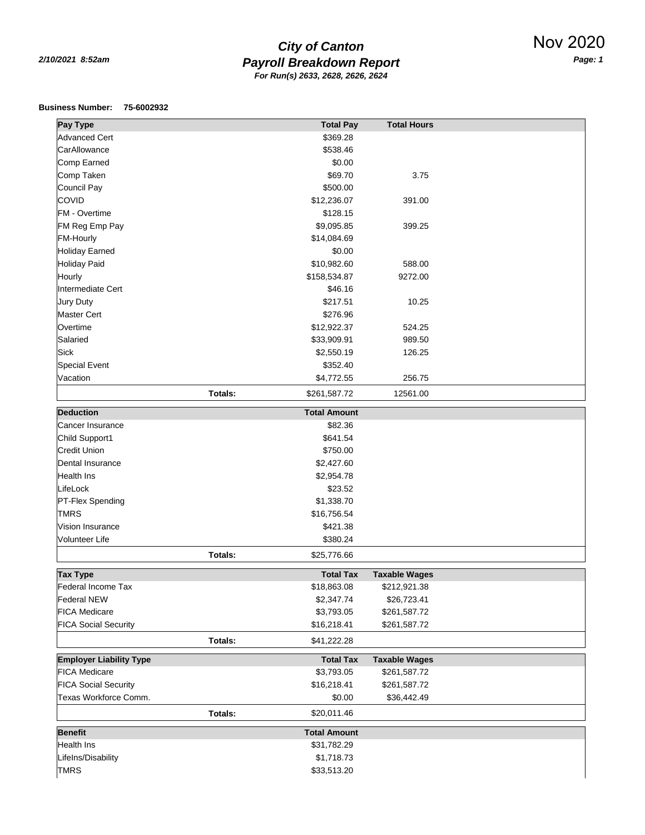## *Payroll Breakdown Report 2/10/2021 8:52am Page: 1 City of Canton For Run(s) 2633, 2628, 2626, 2624*

## **Business Number: 75-6002932**

| <b>Pay Type</b>                     |         | <b>Total Pay</b>    | <b>Total Hours</b>   |  |
|-------------------------------------|---------|---------------------|----------------------|--|
| <b>Advanced Cert</b>                |         | \$369.28            |                      |  |
| CarAllowance                        |         | \$538.46            |                      |  |
| Comp Earned                         |         | \$0.00              |                      |  |
| Comp Taken                          |         | \$69.70             | 3.75                 |  |
| Council Pay                         |         | \$500.00            |                      |  |
| <b>COVID</b>                        |         | \$12,236.07         | 391.00               |  |
| FM - Overtime                       |         | \$128.15            |                      |  |
| FM Reg Emp Pay                      |         | \$9,095.85          | 399.25               |  |
| <b>FM-Hourly</b>                    |         | \$14,084.69         |                      |  |
| <b>Holiday Earned</b>               |         | \$0.00              |                      |  |
| <b>Holiday Paid</b>                 |         | \$10,982.60         | 588.00               |  |
| Hourly                              |         | \$158,534.87        | 9272.00              |  |
| Intermediate Cert                   |         | \$46.16             |                      |  |
| Jury Duty                           |         | \$217.51            | 10.25                |  |
| <b>Master Cert</b>                  |         | \$276.96            |                      |  |
| Overtime                            |         | \$12,922.37         | 524.25               |  |
| Salaried                            |         | \$33,909.91         | 989.50               |  |
| Sick                                |         | \$2,550.19          | 126.25               |  |
| Special Event                       |         | \$352.40            |                      |  |
| Vacation                            |         | \$4,772.55          | 256.75               |  |
|                                     |         |                     |                      |  |
|                                     | Totals: | \$261,587.72        | 12561.00             |  |
| <b>Deduction</b>                    |         | <b>Total Amount</b> |                      |  |
| Cancer Insurance                    |         | \$82.36             |                      |  |
| Child Support1                      |         | \$641.54            |                      |  |
| <b>Credit Union</b>                 |         | \$750.00            |                      |  |
| Dental Insurance                    |         | \$2,427.60          |                      |  |
| Health Ins                          |         | \$2,954.78          |                      |  |
| LifeLock                            |         | \$23.52             |                      |  |
| <b>PT-Flex Spending</b>             |         | \$1,338.70          |                      |  |
| <b>TMRS</b>                         |         | \$16,756.54         |                      |  |
| Vision Insurance                    |         | \$421.38            |                      |  |
| Volunteer Life                      |         | \$380.24            |                      |  |
|                                     | Totals: | \$25,776.66         |                      |  |
|                                     |         |                     |                      |  |
| <b>Tax Type</b>                     |         | <b>Total Tax</b>    | <b>Taxable Wages</b> |  |
| Federal Income Tax                  |         | \$18,863.08         | \$212,921.38         |  |
| <b>Federal NEW</b>                  |         | \$2,347.74          | \$26,723.41          |  |
| <b>FICA Medicare</b>                |         | \$3,793.05          | \$261,587.72         |  |
| <b>FICA Social Security</b>         |         | \$16,218.41         | \$261,587.72         |  |
|                                     | Totals: | \$41,222.28         |                      |  |
| <b>Employer Liability Type</b>      |         | <b>Total Tax</b>    | <b>Taxable Wages</b> |  |
| <b>FICA Medicare</b>                |         | \$3,793.05          | \$261,587.72         |  |
| <b>FICA Social Security</b>         |         | \$16,218.41         | \$261,587.72         |  |
| Texas Workforce Comm.               |         | \$0.00              | \$36,442.49          |  |
|                                     | Totals: | \$20,011.46         |                      |  |
|                                     |         |                     |                      |  |
| <b>Benefit</b><br><b>Health Ins</b> |         | <b>Total Amount</b> |                      |  |
|                                     |         | \$31,782.29         |                      |  |
| LifeIns/Disability                  |         | \$1,718.73          |                      |  |
| <b>TMRS</b>                         |         | \$33,513.20         |                      |  |